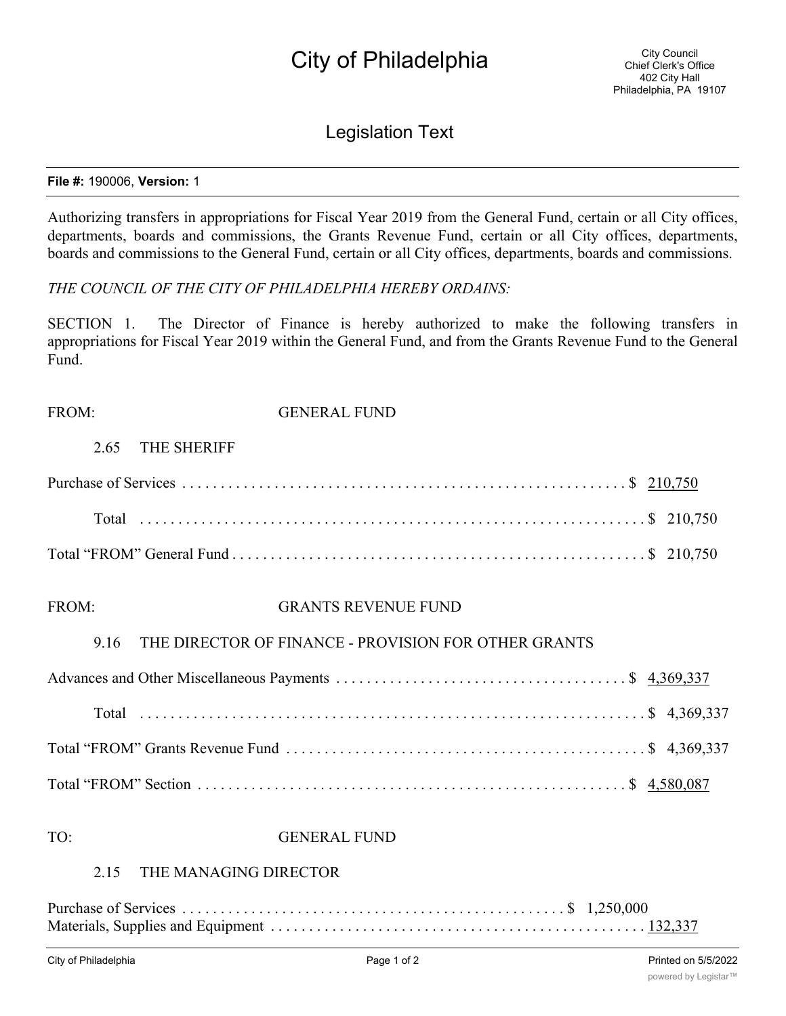# City of Philadelphia

## Legislation Text

#### **File #:** 190006, **Version:** 1

Authorizing transfers in appropriations for Fiscal Year 2019 from the General Fund, certain or all City offices, departments, boards and commissions, the Grants Revenue Fund, certain or all City offices, departments, boards and commissions to the General Fund, certain or all City offices, departments, boards and commissions.

*THE COUNCIL OF THE CITY OF PHILADELPHIA HEREBY ORDAINS:*

SECTION 1. The Director of Finance is hereby authorized to make the following transfers in appropriations for Fiscal Year 2019 within the General Fund, and from the Grants Revenue Fund to the General Fund.

FROM: GENERAL FUND

### 2.65 THE SHERIFF

FROM: GRANTS REVENUE FUND

### 9.16 THE DIRECTOR OF FINANCE - PROVISION FOR OTHER GRANTS

TO: GENERAL FUND

### 2.15 THE MANAGING DIRECTOR